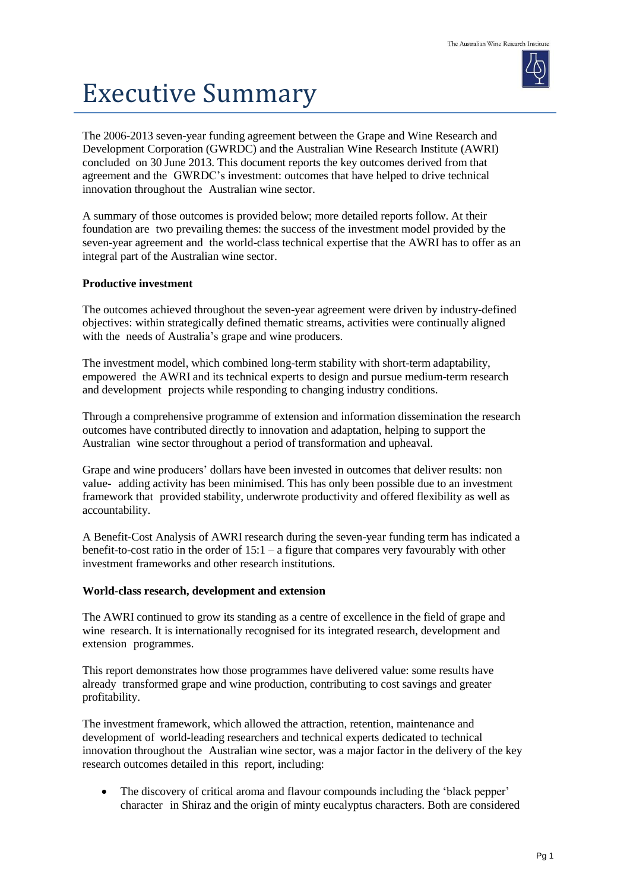## Executive Summary

The 2006-2013 seven-year funding agreement between the Grape and Wine Research and Development Corporation (GWRDC) and the Australian Wine Research Institute (AWRI) concluded on 30 June 2013. This document reports the key outcomes derived from that agreement and the GWRDC's investment: outcomes that have helped to drive technical innovation throughout the Australian wine sector.

A summary of those outcomes is provided below; more detailed reports follow. At their foundation are two prevailing themes: the success of the investment model provided by the seven-year agreement and the world-class technical expertise that the AWRI has to offer as an integral part of the Australian wine sector.

## **Productive investment**

The outcomes achieved throughout the seven-year agreement were driven by industry-defined objectives: within strategically defined thematic streams, activities were continually aligned with the needs of Australia's grape and wine producers.

The investment model, which combined long-term stability with short-term adaptability, empowered the AWRI and its technical experts to design and pursue medium-term research and development projects while responding to changing industry conditions.

Through a comprehensive programme of extension and information dissemination the research outcomes have contributed directly to innovation and adaptation, helping to support the Australian wine sector throughout a period of transformation and upheaval.

Grape and wine producers' dollars have been invested in outcomes that deliver results: non value- adding activity has been minimised. This has only been possible due to an investment framework that provided stability, underwrote productivity and offered flexibility as well as accountability.

A Benefit-Cost Analysis of AWRI research during the seven-year funding term has indicated a benefit-to-cost ratio in the order of  $15:1 - a$  figure that compares very favourably with other investment frameworks and other research institutions.

## **World-class research, development and extension**

The AWRI continued to grow its standing as a centre of excellence in the field of grape and wine research. It is internationally recognised for its integrated research, development and extension programmes.

This report demonstrates how those programmes have delivered value: some results have already transformed grape and wine production, contributing to cost savings and greater profitability.

The investment framework, which allowed the attraction, retention, maintenance and development of world-leading researchers and technical experts dedicated to technical innovation throughout the Australian wine sector, was a major factor in the delivery of the key research outcomes detailed in this report, including:

 The discovery of critical aroma and flavour compounds including the 'black pepper' character in Shiraz and the origin of minty eucalyptus characters. Both are considered